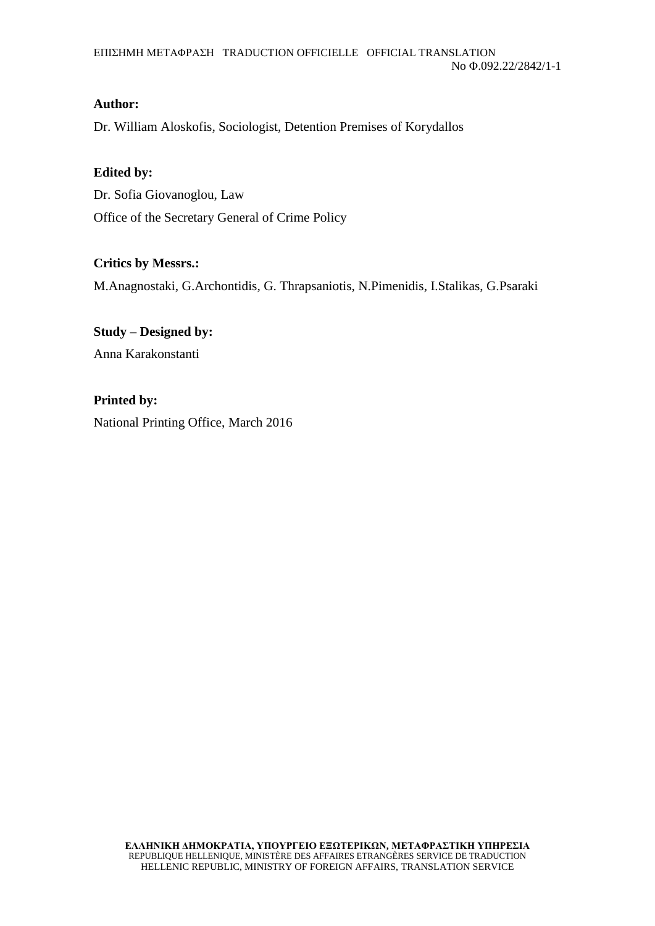## **Author:**

Dr. William Aloskofis, Sociologist, Detention Premises of Korydallos

## **Edited by:**

Dr. Sofia Giovanoglou, Law Office of the Secretary General of Crime Policy

## **Critics by Messrs.:**

M.Anagnostaki, G.Archontidis, G. Thrapsaniotis, N.Pimenidis, I.Stalikas, G.Psaraki

**Study – Designed by:** Anna Karakonstanti

**Printed by:**  National Printing Office, March 2016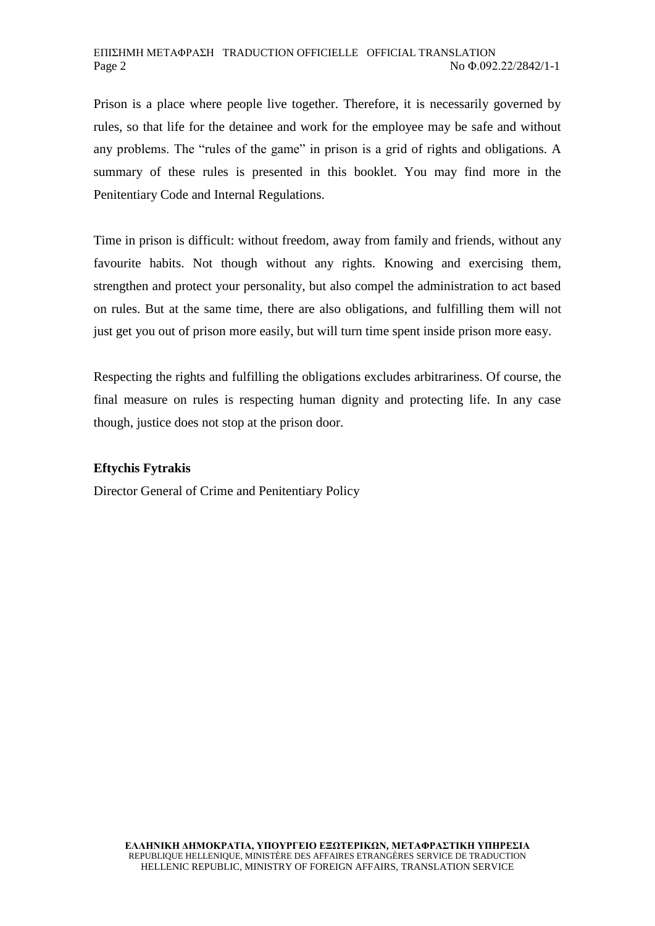Prison is a place where people live together. Therefore, it is necessarily governed by rules, so that life for the detainee and work for the employee may be safe and without any problems. The "rules of the game" in prison is a grid of rights and obligations. A summary of these rules is presented in this booklet. You may find more in the Penitentiary Code and Internal Regulations.

Time in prison is difficult: without freedom, away from family and friends, without any favourite habits. Not though without any rights. Knowing and exercising them, strengthen and protect your personality, but also compel the administration to act based on rules. But at the same time, there are also obligations, and fulfilling them will not just get you out of prison more easily, but will turn time spent inside prison more easy.

Respecting the rights and fulfilling the obligations excludes arbitrariness. Of course, the final measure on rules is respecting human dignity and protecting life. In any case though, justice does not stop at the prison door.

### **Eftychis Fytrakis**

Director General of Crime and Penitentiary Policy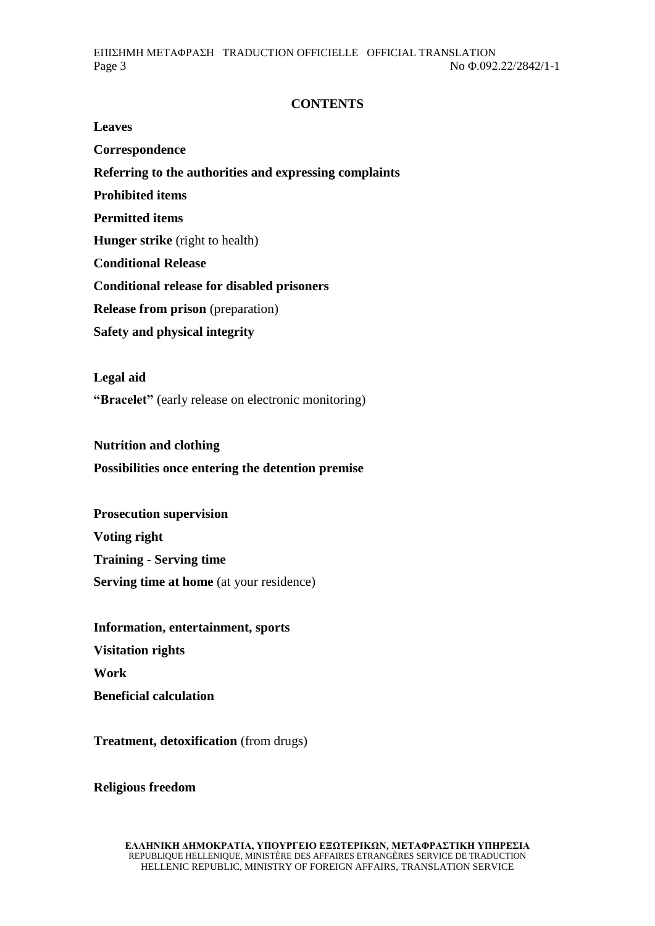# **CONTENTS**

**Leaves Correspondence Referring to the authorities and expressing complaints Prohibited items Permitted items Hunger strike** (right to health) **Conditional Release Conditional release for disabled prisoners Release from prison** (preparation) **Safety and physical integrity** 

**Legal aid "Bracelet"** (early release on electronic monitoring)

**Nutrition and clothing Possibilities once entering the detention premise** 

**Prosecution supervision Voting right Training - Serving time Serving time at home** (at your residence)

**Information, entertainment, sports Visitation rights Work Beneficial calculation** 

**Treatment, detoxification** (from drugs)

**Religious freedom**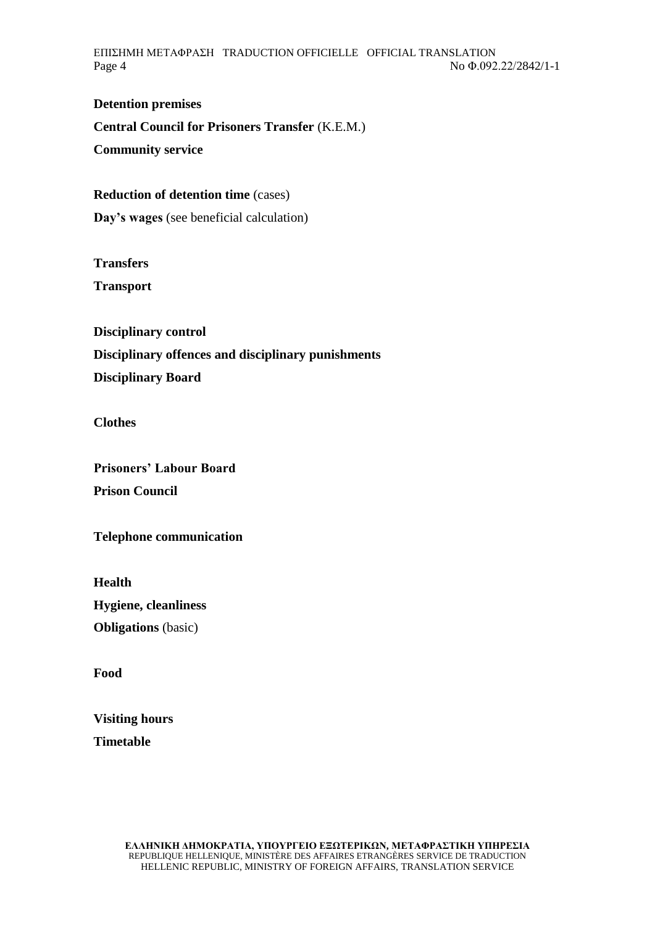ΕΠΙΣΗΜΗ ΜΕΤΑΦΡΑΣΗ TRADUCTION OFFICIELLE OFFICIAL TRANSLATION Page 4 No Φ.092.22/2842/1-1

**Detention premises Central Council for Prisoners Transfer** (K.E.M.) **Community service** 

**Reduction of detention time** (cases)

**Day's wages** (see beneficial calculation)

**Transfers Transport**

**Disciplinary control Disciplinary offences and disciplinary punishments Disciplinary Board** 

**Clothes** 

**Prisoners' Labour Board Prison Council** 

**Telephone communication** 

**Health Hygiene, cleanliness Obligations** (basic)

**Food** 

**Visiting hours Timetable**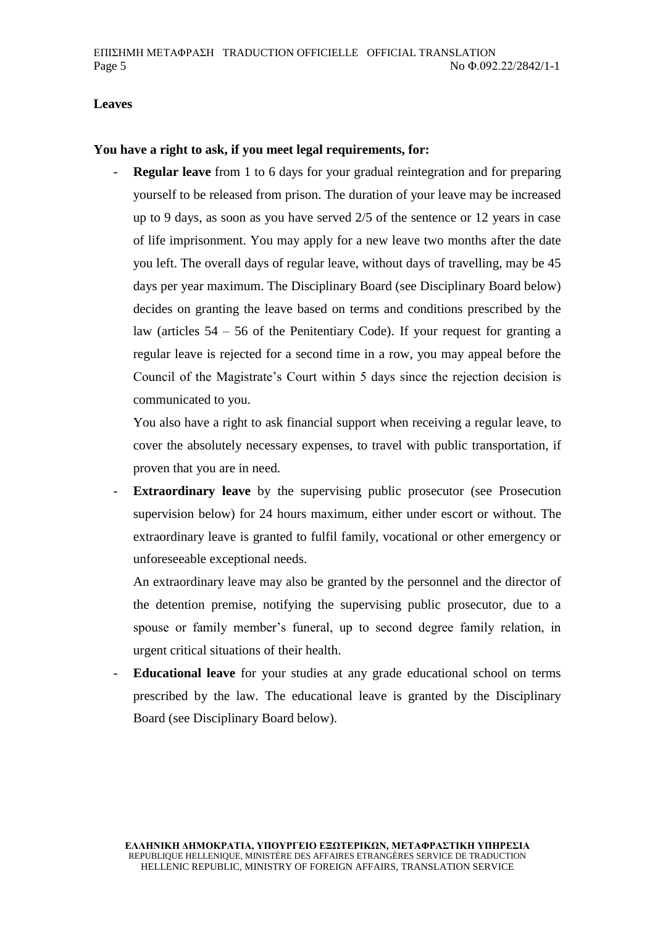### **Leaves**

#### **You have a right to ask, if you meet legal requirements, for:**

**Regular leave** from 1 to 6 days for your gradual reintegration and for preparing yourself to be released from prison. The duration of your leave may be increased up to 9 days, as soon as you have served 2/5 of the sentence or 12 years in case of life imprisonment. You may apply for a new leave two months after the date you left. The overall days of regular leave, without days of travelling, may be 45 days per year maximum. The Disciplinary Board (see Disciplinary Board below) decides on granting the leave based on terms and conditions prescribed by the law (articles  $54 - 56$  of the Penitentiary Code). If your request for granting a regular leave is rejected for a second time in a row, you may appeal before the Council of the Magistrate's Court within 5 days since the rejection decision is communicated to you.

You also have a right to ask financial support when receiving a regular leave, to cover the absolutely necessary expenses, to travel with public transportation, if proven that you are in need.

**Extraordinary leave** by the supervising public prosecutor (see Prosecution supervision below) for 24 hours maximum, either under escort or without. The extraordinary leave is granted to fulfil family, vocational or other emergency or unforeseeable exceptional needs.

An extraordinary leave may also be granted by the personnel and the director of the detention premise, notifying the supervising public prosecutor, due to a spouse or family member's funeral, up to second degree family relation, in urgent critical situations of their health.

- **Educational leave** for your studies at any grade educational school on terms prescribed by the law. The educational leave is granted by the Disciplinary Board (see Disciplinary Board below).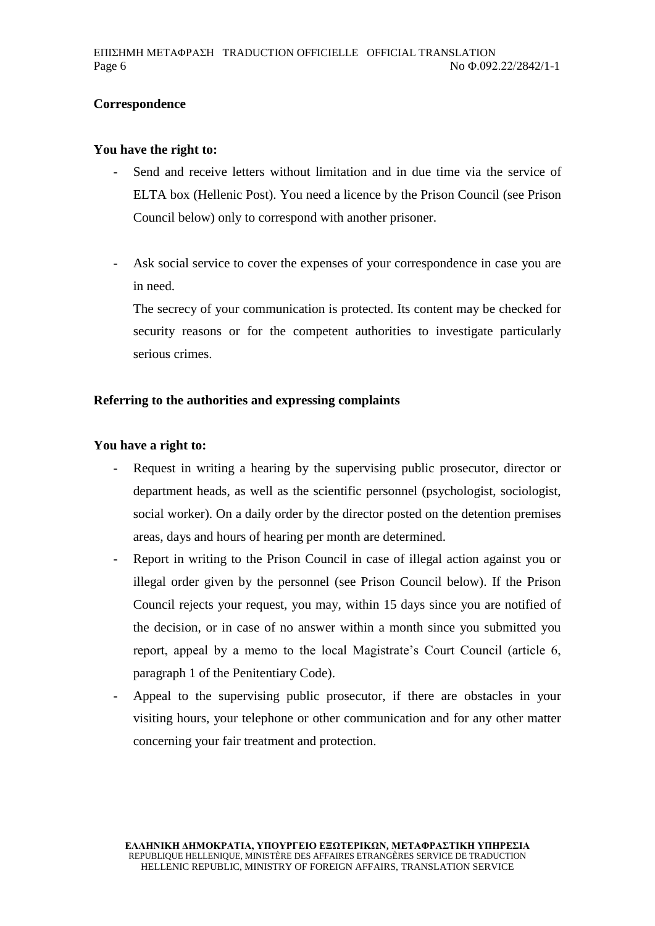## **Correspondence**

#### **You have the right to:**

- Send and receive letters without limitation and in due time via the service of ELTA box (Hellenic Post). You need a licence by the Prison Council (see Prison Council below) only to correspond with another prisoner.
- Ask social service to cover the expenses of your correspondence in case you are in need.

The secrecy of your communication is protected. Its content may be checked for security reasons or for the competent authorities to investigate particularly serious crimes.

### **Referring to the authorities and expressing complaints**

### **You have a right to:**

- Request in writing a hearing by the supervising public prosecutor, director or department heads, as well as the scientific personnel (psychologist, sociologist, social worker). On a daily order by the director posted on the detention premises areas, days and hours of hearing per month are determined.
- Report in writing to the Prison Council in case of illegal action against you or illegal order given by the personnel (see Prison Council below). If the Prison Council rejects your request, you may, within 15 days since you are notified of the decision, or in case of no answer within a month since you submitted you report, appeal by a memo to the local Magistrate's Court Council (article 6, paragraph 1 of the Penitentiary Code).
- Appeal to the supervising public prosecutor, if there are obstacles in your visiting hours, your telephone or other communication and for any other matter concerning your fair treatment and protection.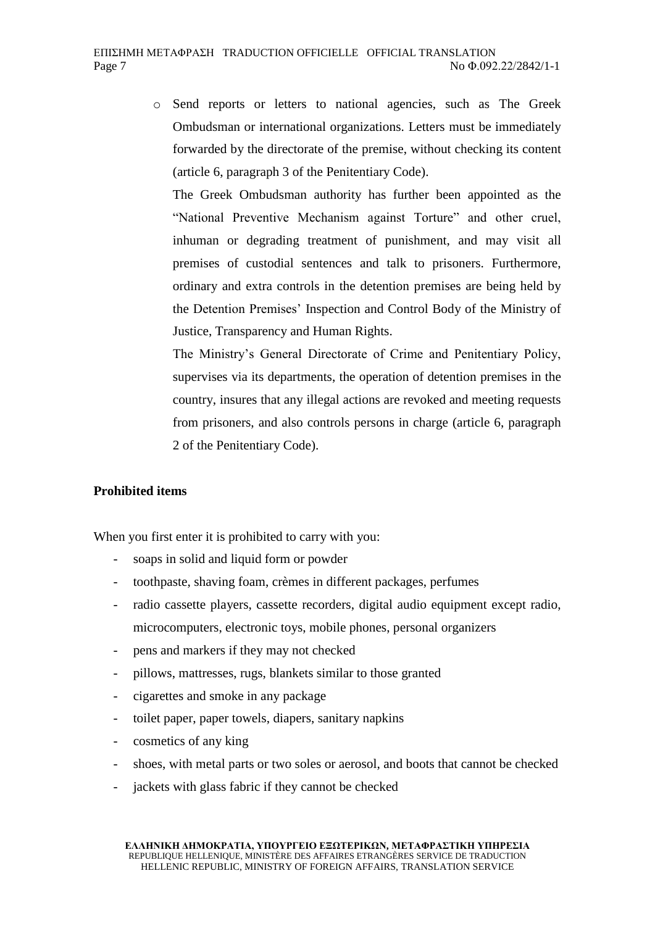o Send reports or letters to national agencies, such as The Greek Ombudsman or international organizations. Letters must be immediately forwarded by the directorate of the premise, without checking its content (article 6, paragraph 3 of the Penitentiary Code).

The Greek Ombudsman authority has further been appointed as the "National Preventive Mechanism against Torture" and other cruel, inhuman or degrading treatment of punishment, and may visit all premises of custodial sentences and talk to prisoners. Furthermore, ordinary and extra controls in the detention premises are being held by the Detention Premises' Inspection and Control Body of the Ministry of Justice, Transparency and Human Rights.

The Ministry's General Directorate of Crime and Penitentiary Policy, supervises via its departments, the operation of detention premises in the country, insures that any illegal actions are revoked and meeting requests from prisoners, and also controls persons in charge (article 6, paragraph 2 of the Penitentiary Code).

### **Prohibited items**

When you first enter it is prohibited to carry with you:

- soaps in solid and liquid form or powder
- toothpaste, shaving foam, crèmes in different packages, perfumes
- radio cassette players, cassette recorders, digital audio equipment except radio, microcomputers, electronic toys, mobile phones, personal organizers
- pens and markers if they may not checked
- pillows, mattresses, rugs, blankets similar to those granted
- cigarettes and smoke in any package
- toilet paper, paper towels, diapers, sanitary napkins
- cosmetics of any king
- shoes, with metal parts or two soles or aerosol, and boots that cannot be checked
- jackets with glass fabric if they cannot be checked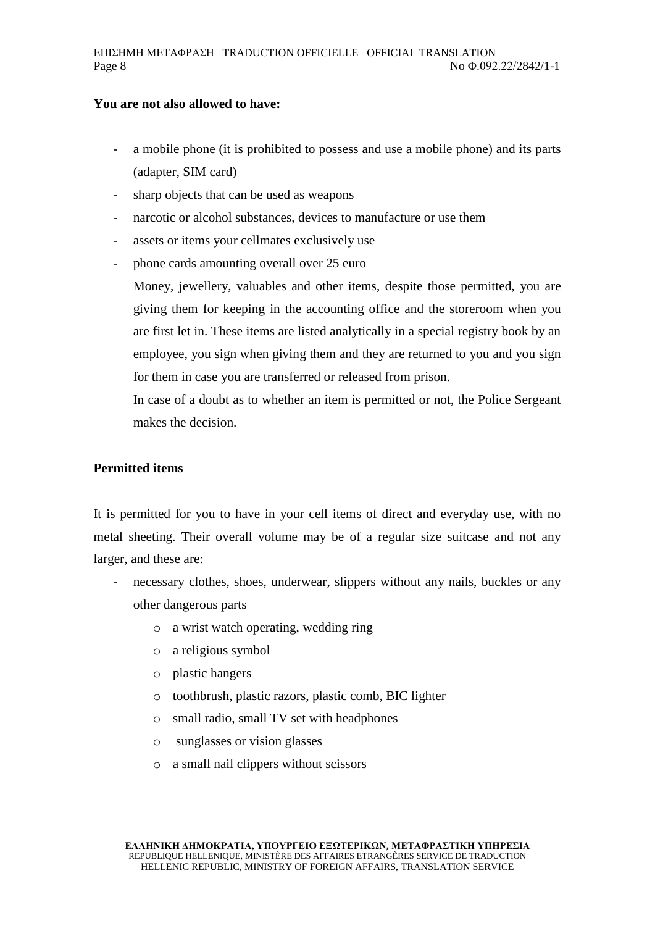#### **You are not also allowed to have:**

- a mobile phone (it is prohibited to possess and use a mobile phone) and its parts (adapter, SIM card)
- sharp objects that can be used as weapons
- narcotic or alcohol substances, devices to manufacture or use them
- assets or items your cellmates exclusively use
- phone cards amounting overall over 25 euro

Money, jewellery, valuables and other items, despite those permitted, you are giving them for keeping in the accounting office and the storeroom when you are first let in. These items are listed analytically in a special registry book by an employee, you sign when giving them and they are returned to you and you sign for them in case you are transferred or released from prison.

In case of a doubt as to whether an item is permitted or not, the Police Sergeant makes the decision.

### **Permitted items**

It is permitted for you to have in your cell items of direct and everyday use, with no metal sheeting. Their overall volume may be of a regular size suitcase and not any larger, and these are:

- necessary clothes, shoes, underwear, slippers without any nails, buckles or any other dangerous parts
	- o a wrist watch operating, wedding ring
	- o a religious symbol
	- o plastic hangers
	- o toothbrush, plastic razors, plastic comb, BIC lighter
	- o small radio, small TV set with headphones
	- o sunglasses or vision glasses
	- o a small nail clippers without scissors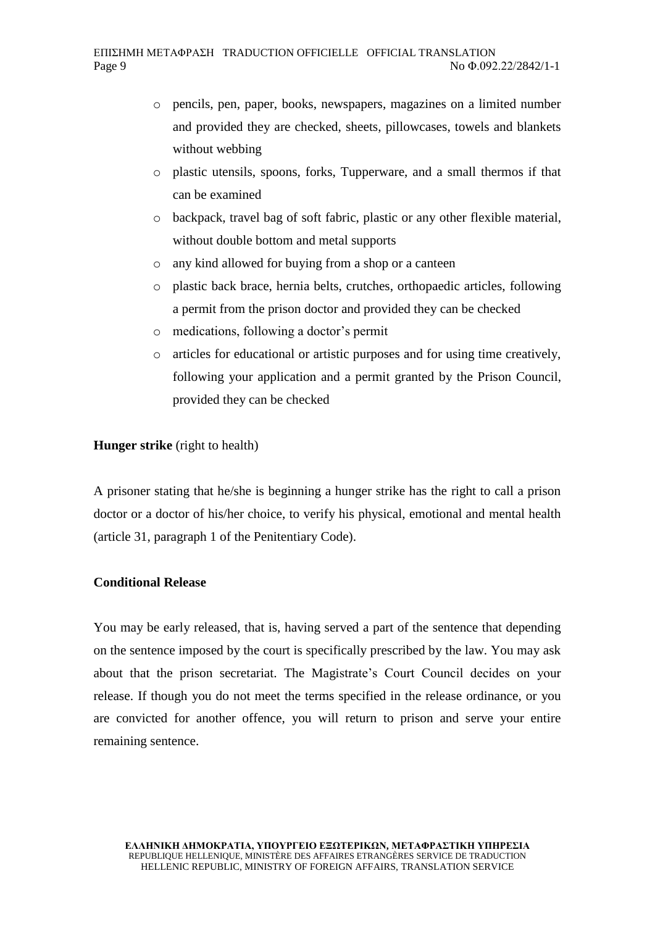- o pencils, pen, paper, books, newspapers, magazines on a limited number and provided they are checked, sheets, pillowcases, towels and blankets without webbing
- o plastic utensils, spoons, forks, Tupperware, and a small thermos if that can be examined
- o backpack, travel bag of soft fabric, plastic or any other flexible material, without double bottom and metal supports
- o any kind allowed for buying from a shop or a canteen
- o plastic back brace, hernia belts, crutches, orthopaedic articles, following a permit from the prison doctor and provided they can be checked
- o medications, following a doctor's permit
- o articles for educational or artistic purposes and for using time creatively, following your application and a permit granted by the Prison Council, provided they can be checked

## **Hunger strike** (right to health)

A prisoner stating that he/she is beginning a hunger strike has the right to call a prison doctor or a doctor of his/her choice, to verify his physical, emotional and mental health (article 31, paragraph 1 of the Penitentiary Code).

### **Conditional Release**

You may be early released, that is, having served a part of the sentence that depending on the sentence imposed by the court is specifically prescribed by the law. You may ask about that the prison secretariat. The Magistrate's Court Council decides on your release. If though you do not meet the terms specified in the release ordinance, or you are convicted for another offence, you will return to prison and serve your entire remaining sentence.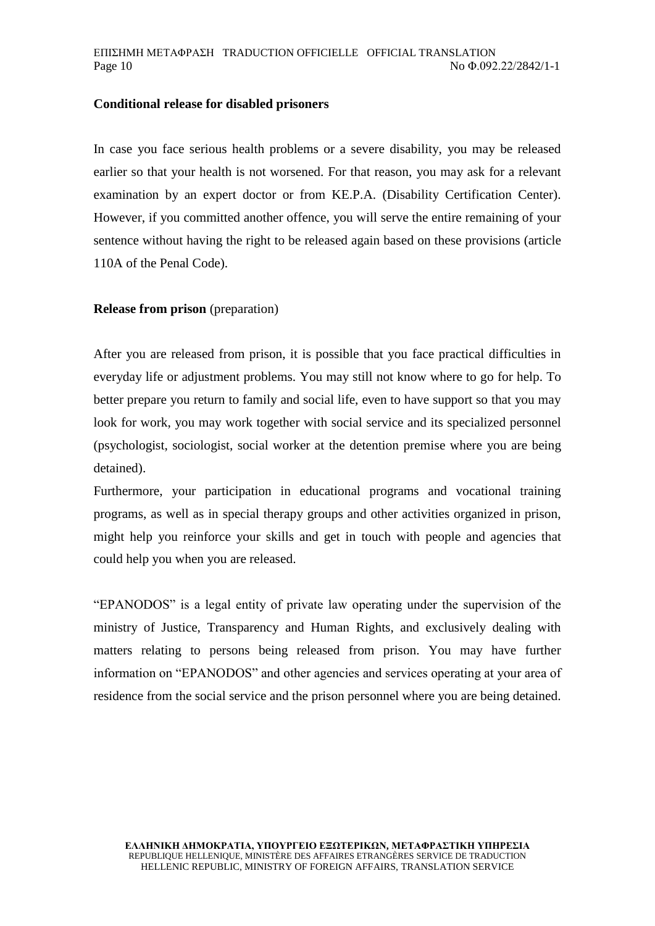#### **Conditional release for disabled prisoners**

In case you face serious health problems or a severe disability, you may be released earlier so that your health is not worsened. For that reason, you may ask for a relevant examination by an expert doctor or from KE.P.A. (Disability Certification Center). However, if you committed another offence, you will serve the entire remaining of your sentence without having the right to be released again based on these provisions (article 110A of the Penal Code).

#### **Release from prison** (preparation)

After you are released from prison, it is possible that you face practical difficulties in everyday life or adjustment problems. You may still not know where to go for help. To better prepare you return to family and social life, even to have support so that you may look for work, you may work together with social service and its specialized personnel (psychologist, sociologist, social worker at the detention premise where you are being detained).

Furthermore, your participation in educational programs and vocational training programs, as well as in special therapy groups and other activities organized in prison, might help you reinforce your skills and get in touch with people and agencies that could help you when you are released.

"EPANODOS" is a legal entity of private law operating under the supervision of the ministry of Justice, Transparency and Human Rights, and exclusively dealing with matters relating to persons being released from prison. You may have further information on "EPANODOS" and other agencies and services operating at your area of residence from the social service and the prison personnel where you are being detained.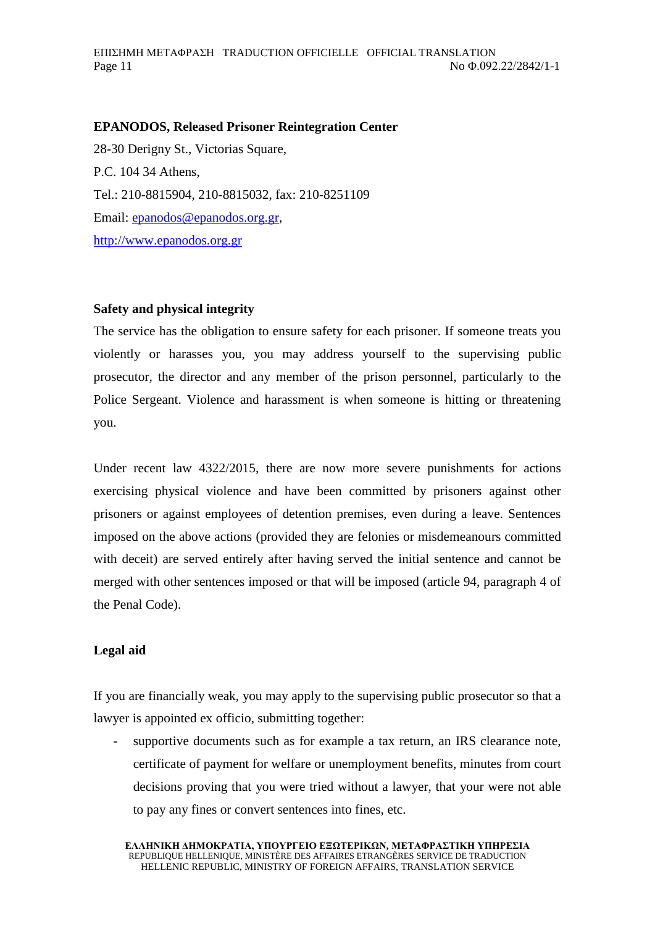### **EPANODOS, Released Prisoner Reintegration Center**

28-30 Derigny St., Victorias Square, P.C. 104 34 Athens, Tel.: 210-8815904, 210-8815032, fax: 210-8251109 Email: [epanodos@epanodos.org.gr,](mailto:epanodos@epanodos.org.gr) [http://www.epanodos.org.gr](http://www.epanodos.org.gr/)

#### **Safety and physical integrity**

The service has the obligation to ensure safety for each prisoner. If someone treats you violently or harasses you, you may address yourself to the supervising public prosecutor, the director and any member of the prison personnel, particularly to the Police Sergeant. Violence and harassment is when someone is hitting or threatening you.

Under recent law 4322/2015, there are now more severe punishments for actions exercising physical violence and have been committed by prisoners against other prisoners or against employees of detention premises, even during a leave. Sentences imposed on the above actions (provided they are felonies or misdemeanours committed with deceit) are served entirely after having served the initial sentence and cannot be merged with other sentences imposed or that will be imposed (article 94, paragraph 4 of the Penal Code).

### **Legal aid**

If you are financially weak, you may apply to the supervising public prosecutor so that a lawyer is appointed ex officio, submitting together:

supportive documents such as for example a tax return, an IRS clearance note, certificate of payment for welfare or unemployment benefits, minutes from court decisions proving that you were tried without a lawyer, that your were not able to pay any fines or convert sentences into fines, etc.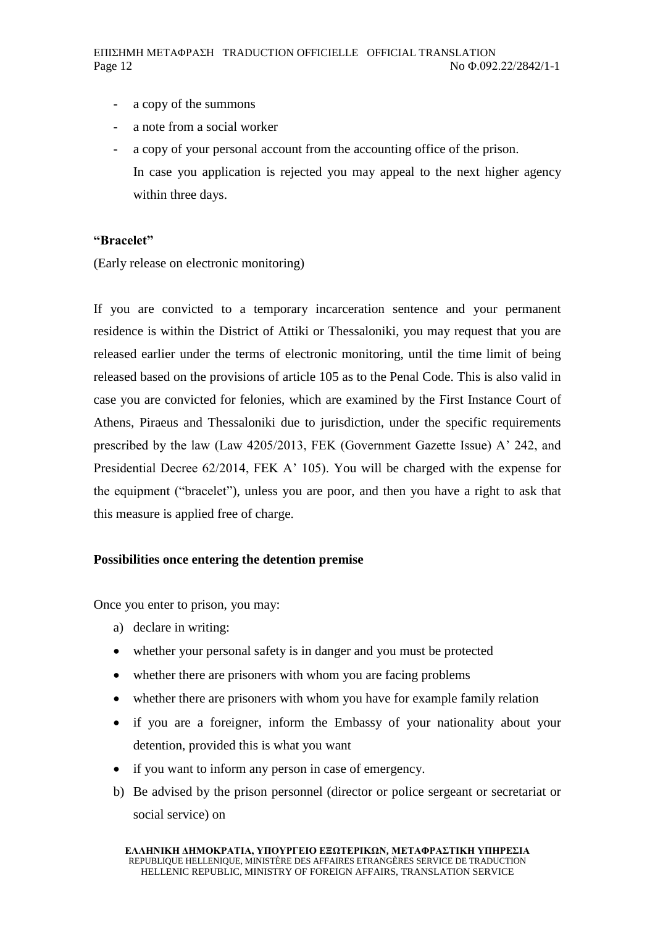- a copy of the summons
- a note from a social worker
- a copy of your personal account from the accounting office of the prison. In case you application is rejected you may appeal to the next higher agency within three days.

### **"Bracelet"**

(Early release on electronic monitoring)

If you are convicted to a temporary incarceration sentence and your permanent residence is within the District of Attiki or Thessaloniki, you may request that you are released earlier under the terms of electronic monitoring, until the time limit of being released based on the provisions of article 105 as to the Penal Code. This is also valid in case you are convicted for felonies, which are examined by the First Instance Court of Athens, Piraeus and Thessaloniki due to jurisdiction, under the specific requirements prescribed by the law (Law 4205/2013, FEK (Government Gazette Issue) A' 242, and Presidential Decree 62/2014, FEK A' 105). You will be charged with the expense for the equipment ("bracelet"), unless you are poor, and then you have a right to ask that this measure is applied free of charge.

# **Possibilities once entering the detention premise**

Once you enter to prison, you may:

- a) declare in writing:
- whether your personal safety is in danger and you must be protected
- whether there are prisoners with whom you are facing problems
- whether there are prisoners with whom you have for example family relation
- if you are a foreigner, inform the Embassy of your nationality about your detention, provided this is what you want
- if you want to inform any person in case of emergency.
- b) Be advised by the prison personnel (director or police sergeant or secretariat or social service) on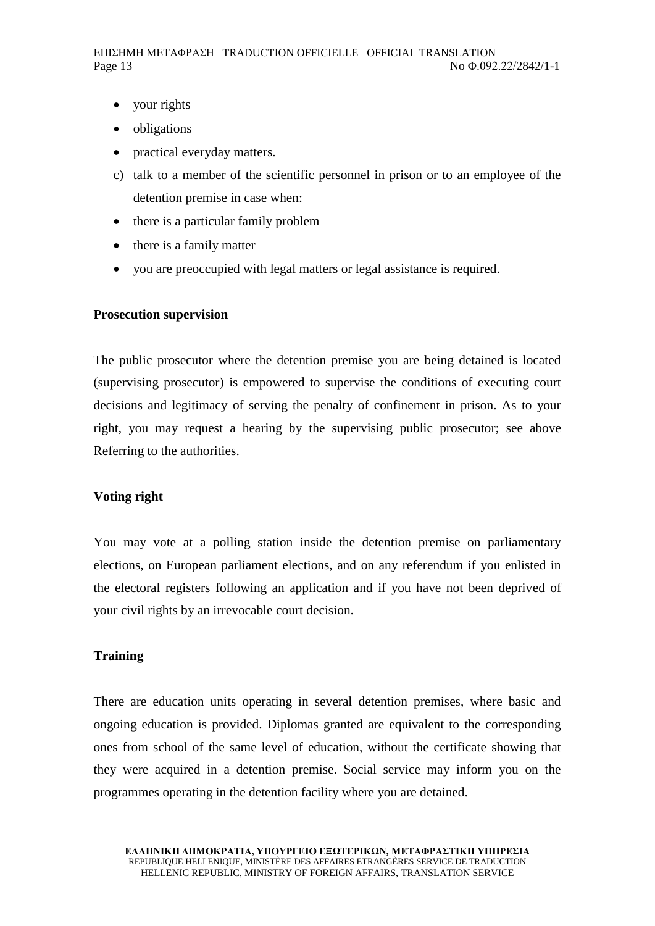- your rights
- obligations
- practical everyday matters.
- c) talk to a member of the scientific personnel in prison or to an employee of the detention premise in case when:
- there is a particular family problem
- there is a family matter
- you are preoccupied with legal matters or legal assistance is required.

#### **Prosecution supervision**

The public prosecutor where the detention premise you are being detained is located (supervising prosecutor) is empowered to supervise the conditions of executing court decisions and legitimacy of serving the penalty of confinement in prison. As to your right, you may request a hearing by the supervising public prosecutor; see above Referring to the authorities.

#### **Voting right**

You may vote at a polling station inside the detention premise on parliamentary elections, on European parliament elections, and on any referendum if you enlisted in the electoral registers following an application and if you have not been deprived of your civil rights by an irrevocable court decision.

#### **Training**

There are education units operating in several detention premises, where basic and ongoing education is provided. Diplomas granted are equivalent to the corresponding ones from school of the same level of education, without the certificate showing that they were acquired in a detention premise. Social service may inform you on the programmes operating in the detention facility where you are detained.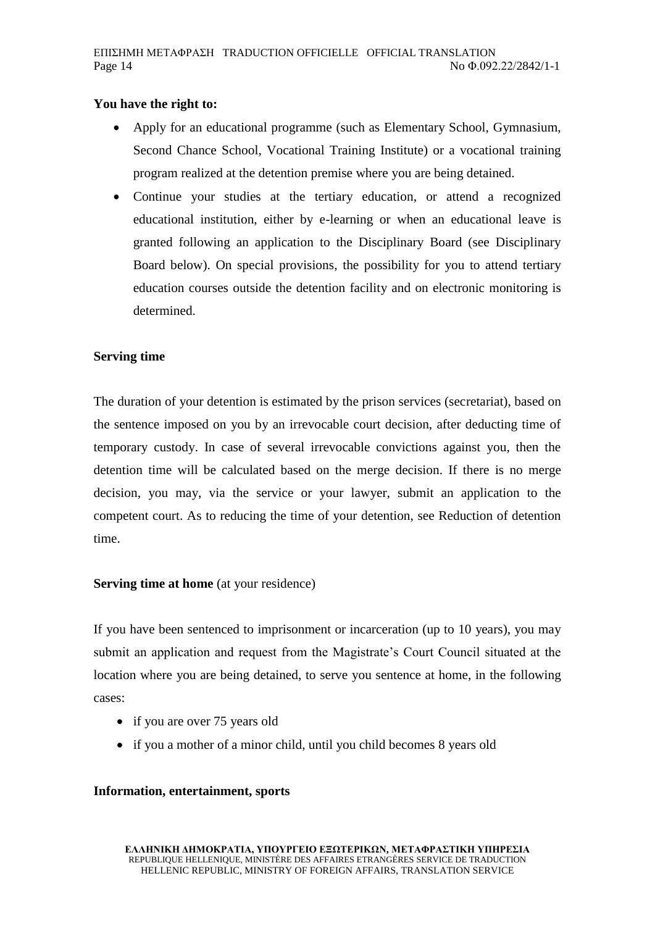## **You have the right to:**

- Apply for an educational programme (such as Elementary School, Gymnasium, Second Chance School, Vocational Training Institute) or a vocational training program realized at the detention premise where you are being detained.
- Continue your studies at the tertiary education, or attend a recognized educational institution, either by e-learning or when an educational leave is granted following an application to the Disciplinary Board (see Disciplinary Board below). On special provisions, the possibility for you to attend tertiary education courses outside the detention facility and on electronic monitoring is determined.

## **Serving time**

The duration of your detention is estimated by the prison services (secretariat), based on the sentence imposed on you by an irrevocable court decision, after deducting time of temporary custody. In case of several irrevocable convictions against you, then the detention time will be calculated based on the merge decision. If there is no merge decision, you may, via the service or your lawyer, submit an application to the competent court. As to reducing the time of your detention, see Reduction of detention time.

### **Serving time at home** (at your residence)

If you have been sentenced to imprisonment or incarceration (up to 10 years), you may submit an application and request from the Magistrate's Court Council situated at the location where you are being detained, to serve you sentence at home, in the following cases:

- if you are over 75 years old
- if you a mother of a minor child, until you child becomes 8 years old

### **Information, entertainment, sports**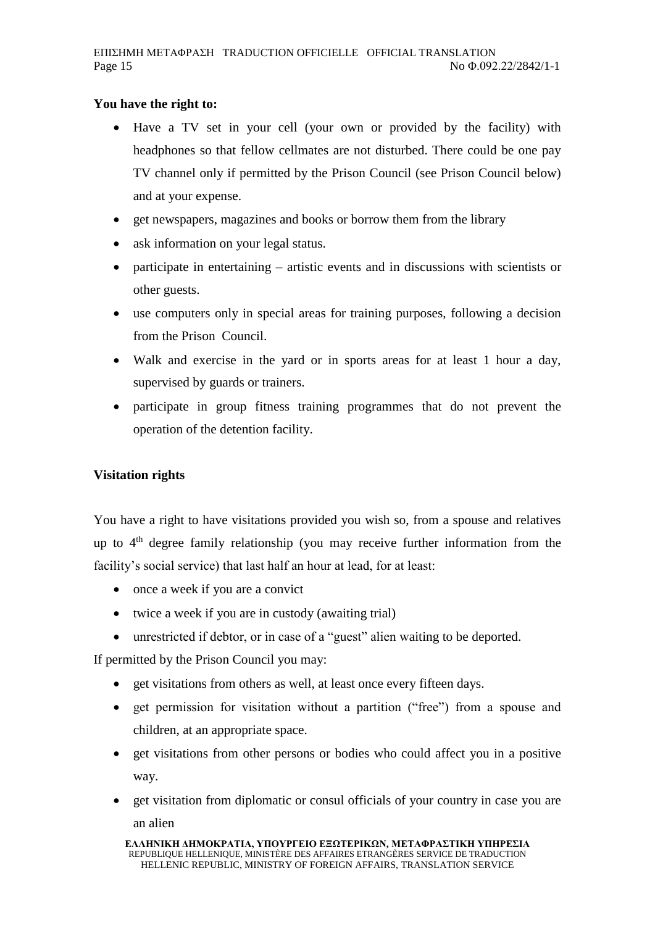# **You have the right to:**

- Have a TV set in your cell (your own or provided by the facility) with headphones so that fellow cellmates are not disturbed. There could be one pay TV channel only if permitted by the Prison Council (see Prison Council below) and at your expense.
- get newspapers, magazines and books or borrow them from the library
- ask information on your legal status.
- participate in entertaining artistic events and in discussions with scientists or other guests.
- use computers only in special areas for training purposes, following a decision from the Prison Council.
- Walk and exercise in the yard or in sports areas for at least 1 hour a day, supervised by guards or trainers.
- participate in group fitness training programmes that do not prevent the operation of the detention facility.

# **Visitation rights**

You have a right to have visitations provided you wish so, from a spouse and relatives up to  $4<sup>th</sup>$  degree family relationship (you may receive further information from the facility's social service) that last half an hour at lead, for at least:

- once a week if you are a convict
- twice a week if you are in custody (awaiting trial)
- unrestricted if debtor, or in case of a "guest" alien waiting to be deported.

If permitted by the Prison Council you may:

- get visitations from others as well, at least once every fifteen days.
- get permission for visitation without a partition ("free") from a spouse and children, at an appropriate space.
- get visitations from other persons or bodies who could affect you in a positive way.
- get visitation from diplomatic or consul officials of your country in case you are an alien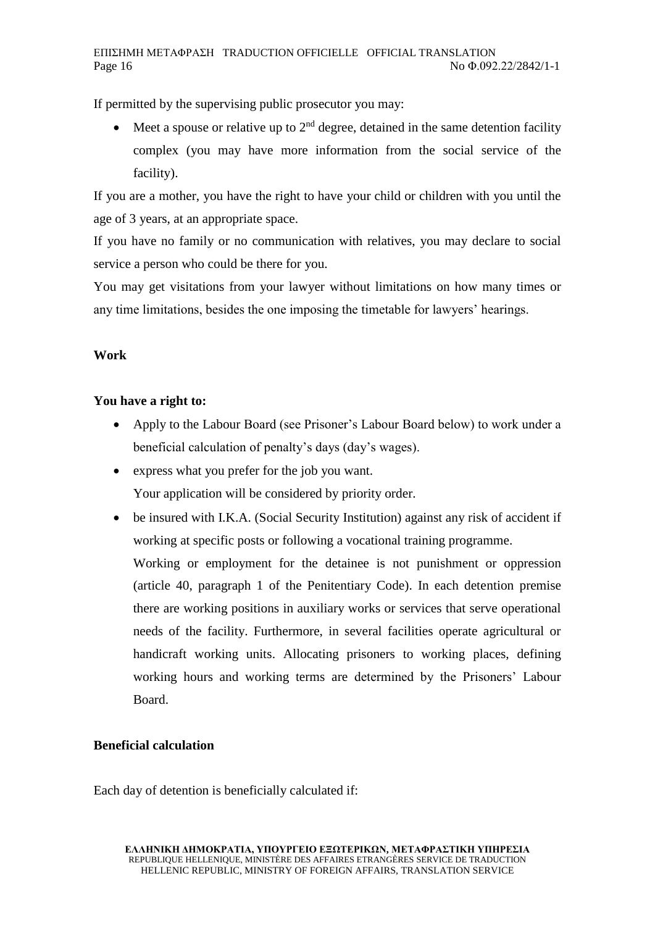If permitted by the supervising public prosecutor you may:

 $\bullet$  Meet a spouse or relative up to 2<sup>nd</sup> degree, detained in the same detention facility complex (you may have more information from the social service of the facility).

If you are a mother, you have the right to have your child or children with you until the age of 3 years, at an appropriate space.

If you have no family or no communication with relatives, you may declare to social service a person who could be there for you.

You may get visitations from your lawyer without limitations on how many times or any time limitations, besides the one imposing the timetable for lawyers' hearings.

# **Work**

# **You have a right to:**

- Apply to the Labour Board (see Prisoner's Labour Board below) to work under a beneficial calculation of penalty's days (day's wages).
- express what you prefer for the job you want. Your application will be considered by priority order.
- be insured with I.K.A. (Social Security Institution) against any risk of accident if working at specific posts or following a vocational training programme.

Working or employment for the detainee is not punishment or oppression (article 40, paragraph 1 of the Penitentiary Code). In each detention premise there are working positions in auxiliary works or services that serve operational needs of the facility. Furthermore, in several facilities operate agricultural or handicraft working units. Allocating prisoners to working places, defining working hours and working terms are determined by the Prisoners' Labour Board.

# **Beneficial calculation**

Each day of detention is beneficially calculated if: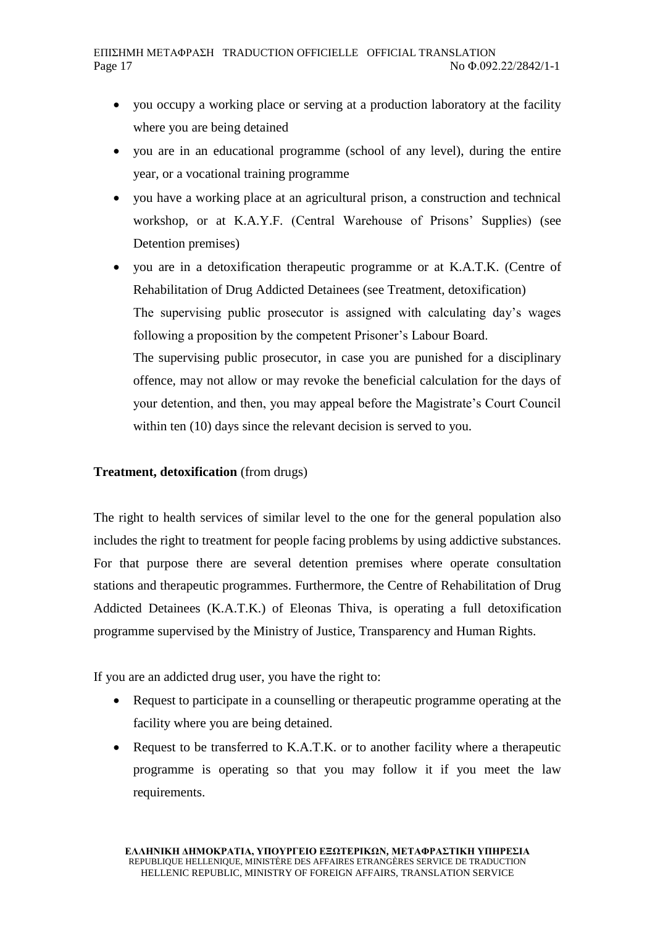- you occupy a working place or serving at a production laboratory at the facility where you are being detained
- you are in an educational programme (school of any level), during the entire year, or a vocational training programme
- you have a working place at an agricultural prison, a construction and technical workshop, or at K.A.Y.F. (Central Warehouse of Prisons' Supplies) (see Detention premises)
- you are in a detoxification therapeutic programme or at K.A.T.K. (Centre of Rehabilitation of Drug Addicted Detainees (see Treatment, detoxification) The supervising public prosecutor is assigned with calculating day's wages following a proposition by the competent Prisoner's Labour Board. The supervising public prosecutor, in case you are punished for a disciplinary offence, may not allow or may revoke the beneficial calculation for the days of your detention, and then, you may appeal before the Magistrate's Court Council within ten (10) days since the relevant decision is served to you.

### **Treatment, detoxification** (from drugs)

The right to health services of similar level to the one for the general population also includes the right to treatment for people facing problems by using addictive substances. For that purpose there are several detention premises where operate consultation stations and therapeutic programmes. Furthermore, the Centre of Rehabilitation of Drug Addicted Detainees (K.A.T.K.) of Eleonas Thiva, is operating a full detoxification programme supervised by the Ministry of Justice, Transparency and Human Rights.

If you are an addicted drug user, you have the right to:

- Request to participate in a counselling or therapeutic programme operating at the facility where you are being detained.
- Request to be transferred to K.A.T.K. or to another facility where a therapeutic programme is operating so that you may follow it if you meet the law requirements.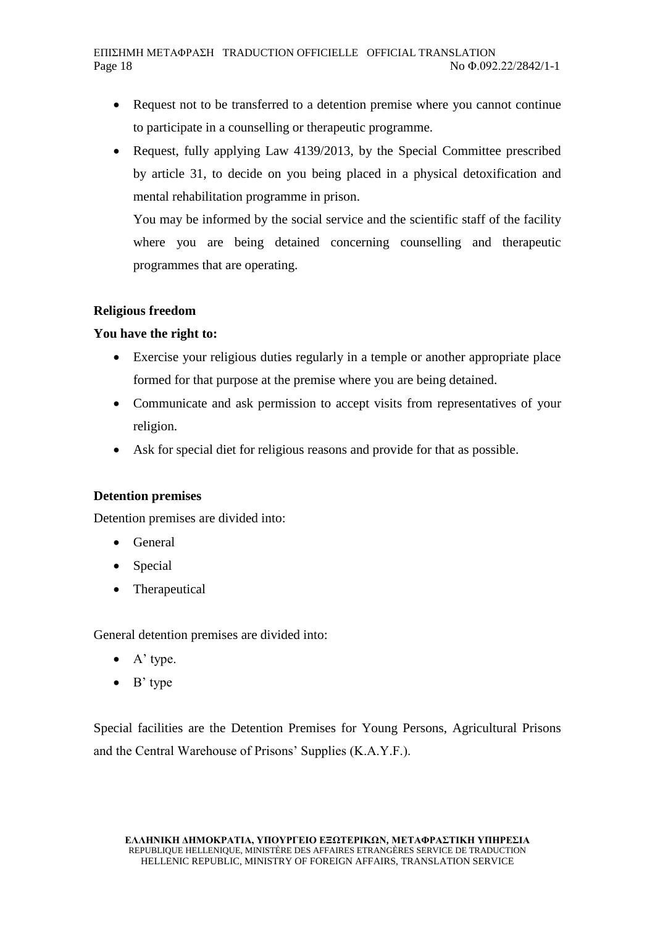- Request not to be transferred to a detention premise where you cannot continue to participate in a counselling or therapeutic programme.
- Request, fully applying Law 4139/2013, by the Special Committee prescribed by article 31, to decide on you being placed in a physical detoxification and mental rehabilitation programme in prison.

You may be informed by the social service and the scientific staff of the facility where you are being detained concerning counselling and therapeutic programmes that are operating.

### **Religious freedom**

## **You have the right to:**

- Exercise your religious duties regularly in a temple or another appropriate place formed for that purpose at the premise where you are being detained.
- Communicate and ask permission to accept visits from representatives of your religion.
- Ask for special diet for religious reasons and provide for that as possible.

### **Detention premises**

Detention premises are divided into:

- General
- Special
- Therapeutical

General detention premises are divided into:

- A' type.
- $\bullet$  B' type

Special facilities are the Detention Premises for Young Persons, Agricultural Prisons and the Central Warehouse of Prisons' Supplies (K.A.Y.F.).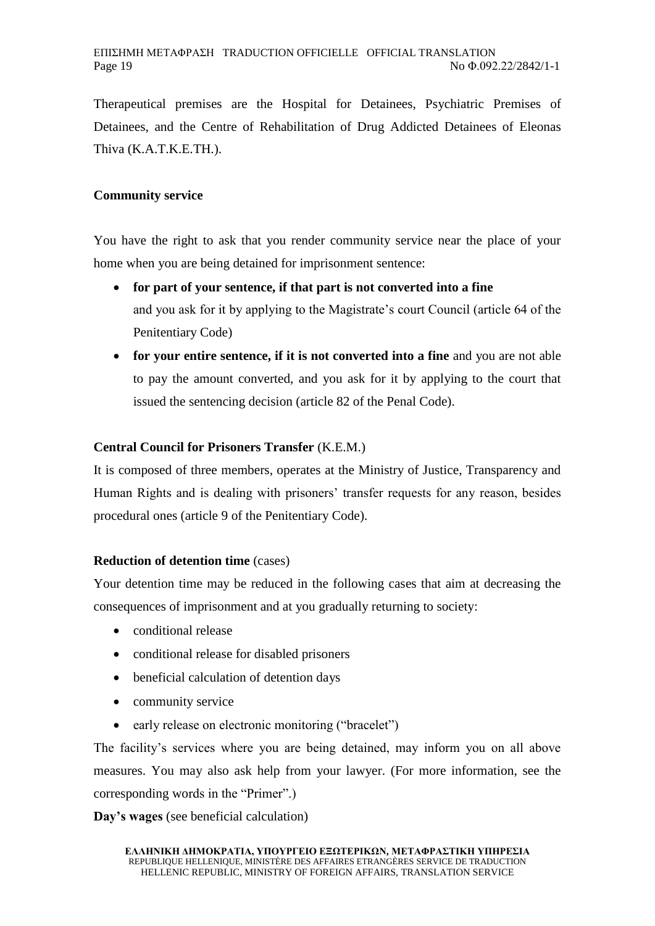Therapeutical premises are the Hospital for Detainees, Psychiatric Premises of Detainees, and the Centre of Rehabilitation of Drug Addicted Detainees of Eleonas Thiva (K.A.T.K.E.TH.).

## **Community service**

You have the right to ask that you render community service near the place of your home when you are being detained for imprisonment sentence:

- **for part of your sentence, if that part is not converted into a fine**  and you ask for it by applying to the Magistrate's court Council (article 64 of the Penitentiary Code)
- **for your entire sentence, if it is not converted into a fine** and you are not able to pay the amount converted, and you ask for it by applying to the court that issued the sentencing decision (article 82 of the Penal Code).

# **Central Council for Prisoners Transfer** (K.E.M.)

It is composed of three members, operates at the Ministry of Justice, Transparency and Human Rights and is dealing with prisoners' transfer requests for any reason, besides procedural ones (article 9 of the Penitentiary Code).

### **Reduction of detention time** (cases)

Your detention time may be reduced in the following cases that aim at decreasing the consequences of imprisonment and at you gradually returning to society:

- conditional release
- conditional release for disabled prisoners
- beneficial calculation of detention days
- community service
- early release on electronic monitoring ("bracelet")

The facility's services where you are being detained, may inform you on all above measures. You may also ask help from your lawyer. (For more information, see the corresponding words in the "Primer".)

**Day's wages** (see beneficial calculation)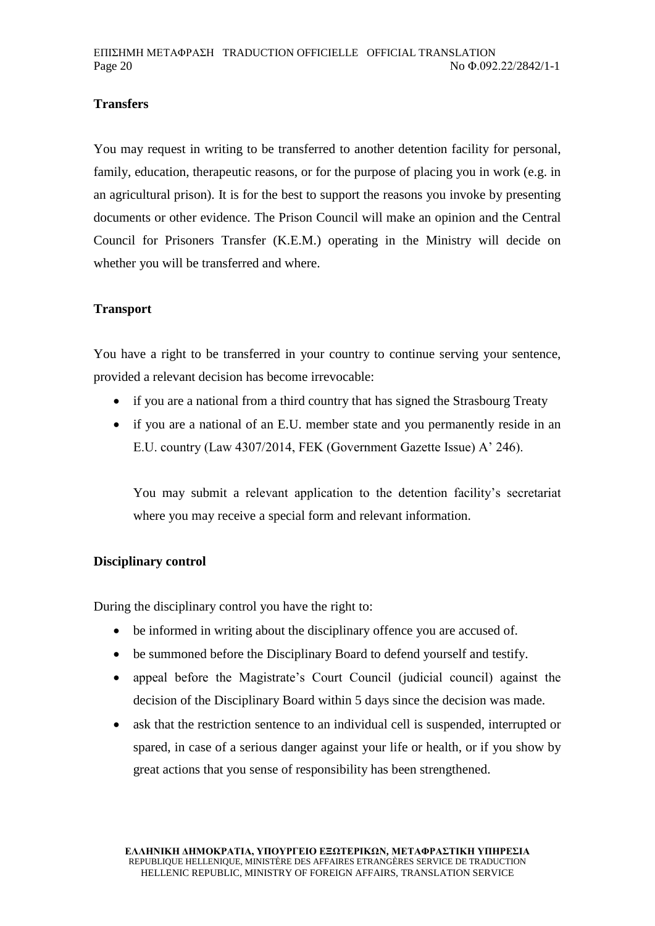# **Transfers**

You may request in writing to be transferred to another detention facility for personal, family, education, therapeutic reasons, or for the purpose of placing you in work (e.g. in an agricultural prison). It is for the best to support the reasons you invoke by presenting documents or other evidence. The Prison Council will make an opinion and the Central Council for Prisoners Transfer (K.E.M.) operating in the Ministry will decide on whether you will be transferred and where.

### **Transport**

You have a right to be transferred in your country to continue serving your sentence, provided a relevant decision has become irrevocable:

- if you are a national from a third country that has signed the Strasbourg Treaty
- if you are a national of an E.U. member state and you permanently reside in an E.U. country (Law 4307/2014, FEK (Government Gazette Issue) A' 246).

You may submit a relevant application to the detention facility's secretariat where you may receive a special form and relevant information.

#### **Disciplinary control**

During the disciplinary control you have the right to:

- be informed in writing about the disciplinary offence you are accused of.
- be summoned before the Disciplinary Board to defend yourself and testify.
- appeal before the Magistrate's Court Council (judicial council) against the decision of the Disciplinary Board within 5 days since the decision was made.
- ask that the restriction sentence to an individual cell is suspended, interrupted or spared, in case of a serious danger against your life or health, or if you show by great actions that you sense of responsibility has been strengthened.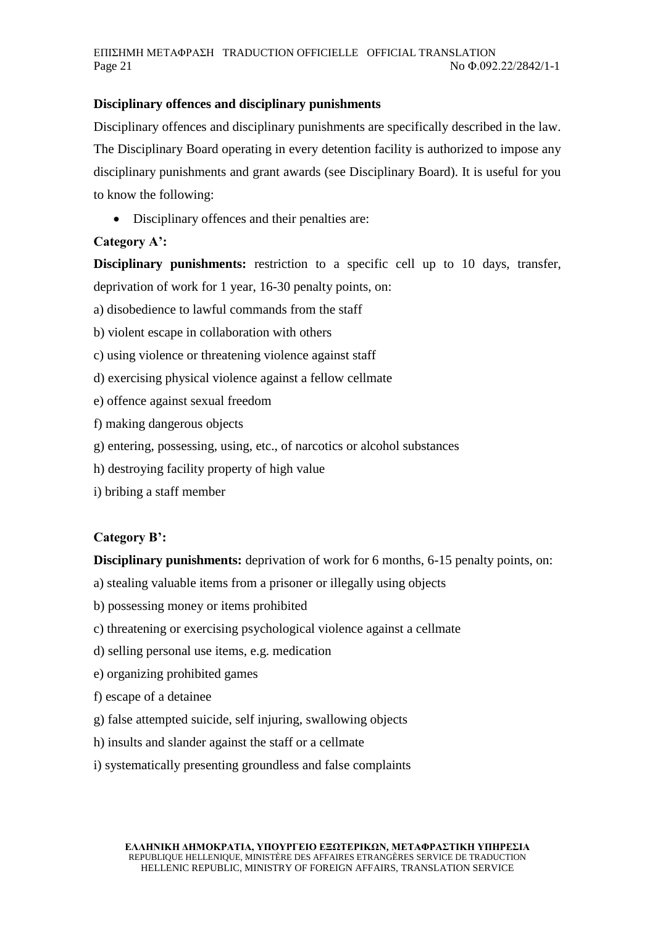## **Disciplinary offences and disciplinary punishments**

Disciplinary offences and disciplinary punishments are specifically described in the law. The Disciplinary Board operating in every detention facility is authorized to impose any disciplinary punishments and grant awards (see Disciplinary Board). It is useful for you to know the following:

Disciplinary offences and their penalties are:

# **Category A':**

**Disciplinary punishments:** restriction to a specific cell up to 10 days, transfer, deprivation of work for 1 year, 16-30 penalty points, on:

a) disobedience to lawful commands from the staff

b) violent escape in collaboration with others

- c) using violence or threatening violence against staff
- d) exercising physical violence against a fellow cellmate
- e) offence against sexual freedom
- f) making dangerous objects
- g) entering, possessing, using, etc., of narcotics or alcohol substances
- h) destroying facility property of high value
- i) bribing a staff member

### **Category B':**

**Disciplinary punishments:** deprivation of work for 6 months, 6-15 penalty points, on:

- a) stealing valuable items from a prisoner or illegally using objects
- b) possessing money or items prohibited
- c) threatening or exercising psychological violence against a cellmate
- d) selling personal use items, e.g. medication
- e) organizing prohibited games
- f) escape of a detainee
- g) false attempted suicide, self injuring, swallowing objects
- h) insults and slander against the staff or a cellmate
- i) systematically presenting groundless and false complaints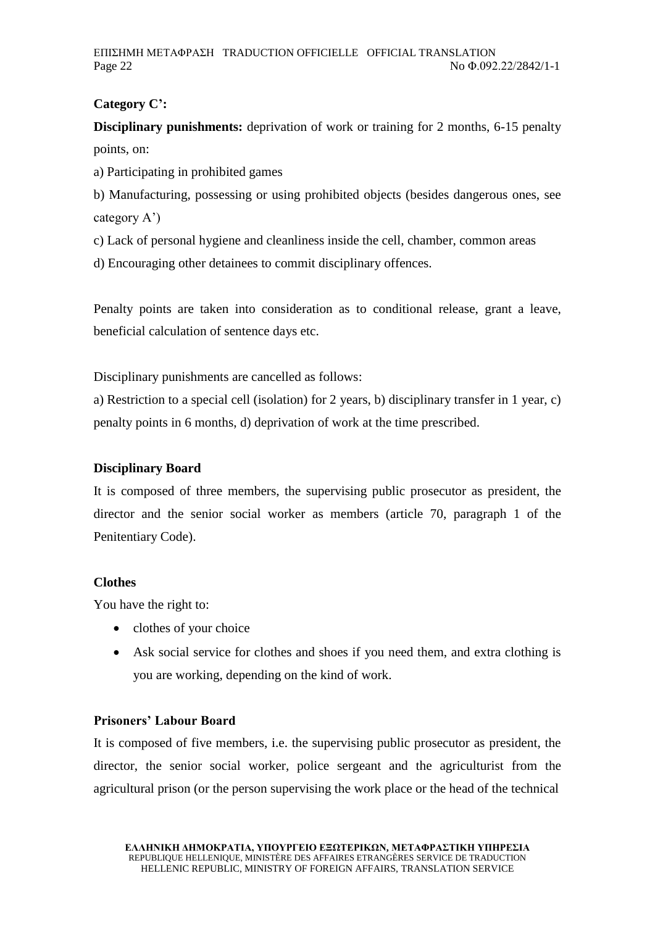# **Category C':**

**Disciplinary punishments:** deprivation of work or training for 2 months, 6-15 penalty points, on:

a) Participating in prohibited games

b) Manufacturing, possessing or using prohibited objects (besides dangerous ones, see category A')

c) Lack of personal hygiene and cleanliness inside the cell, chamber, common areas

d) Encouraging other detainees to commit disciplinary offences.

Penalty points are taken into consideration as to conditional release, grant a leave, beneficial calculation of sentence days etc.

Disciplinary punishments are cancelled as follows:

a) Restriction to a special cell (isolation) for 2 years, b) disciplinary transfer in 1 year, c) penalty points in 6 months, d) deprivation of work at the time prescribed.

# **Disciplinary Board**

It is composed of three members, the supervising public prosecutor as president, the director and the senior social worker as members (article 70, paragraph 1 of the Penitentiary Code).

# **Clothes**

You have the right to:

- clothes of your choice
- Ask social service for clothes and shoes if you need them, and extra clothing is you are working, depending on the kind of work.

## **Prisoners' Labour Board**

It is composed of five members, i.e. the supervising public prosecutor as president, the director, the senior social worker, police sergeant and the agriculturist from the agricultural prison (or the person supervising the work place or the head of the technical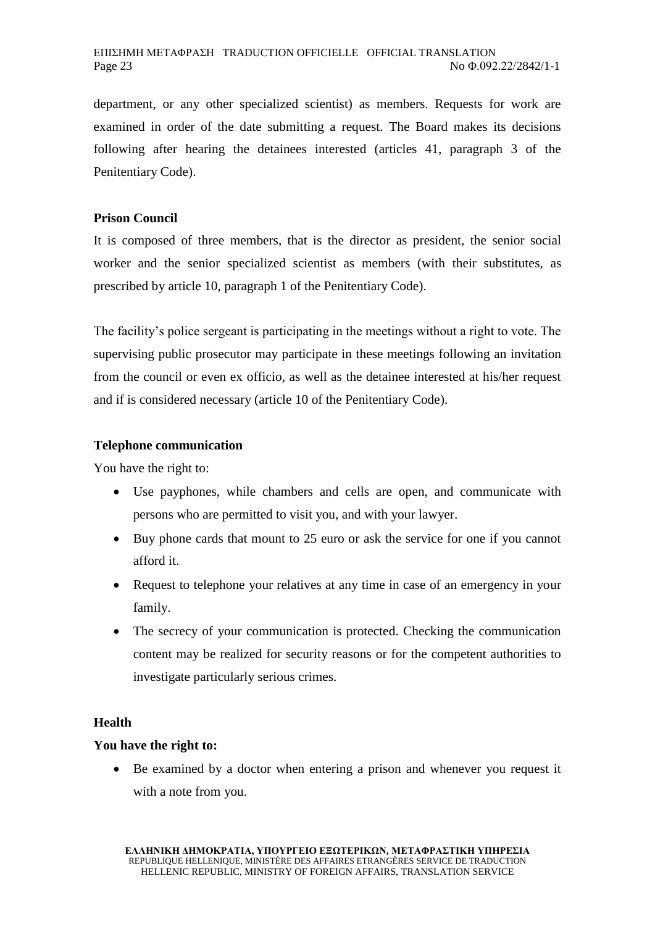department, or any other specialized scientist) as members. Requests for work are examined in order of the date submitting a request. The Board makes its decisions following after hearing the detainees interested (articles 41, paragraph 3 of the Penitentiary Code).

# **Prison Council**

It is composed of three members, that is the director as president, the senior social worker and the senior specialized scientist as members (with their substitutes, as prescribed by article 10, paragraph 1 of the Penitentiary Code).

The facility's police sergeant is participating in the meetings without a right to vote. The supervising public prosecutor may participate in these meetings following an invitation from the council or even ex officio, as well as the detainee interested at his/her request and if is considered necessary (article 10 of the Penitentiary Code).

### **Telephone communication**

You have the right to:

- Use payphones, while chambers and cells are open, and communicate with persons who are permitted to visit you, and with your lawyer.
- Buy phone cards that mount to 25 euro or ask the service for one if you cannot afford it.
- Request to telephone your relatives at any time in case of an emergency in your family.
- The secrecy of your communication is protected. Checking the communication content may be realized for security reasons or for the competent authorities to investigate particularly serious crimes.

### **Health**

# **You have the right to:**

 Be examined by a doctor when entering a prison and whenever you request it with a note from you.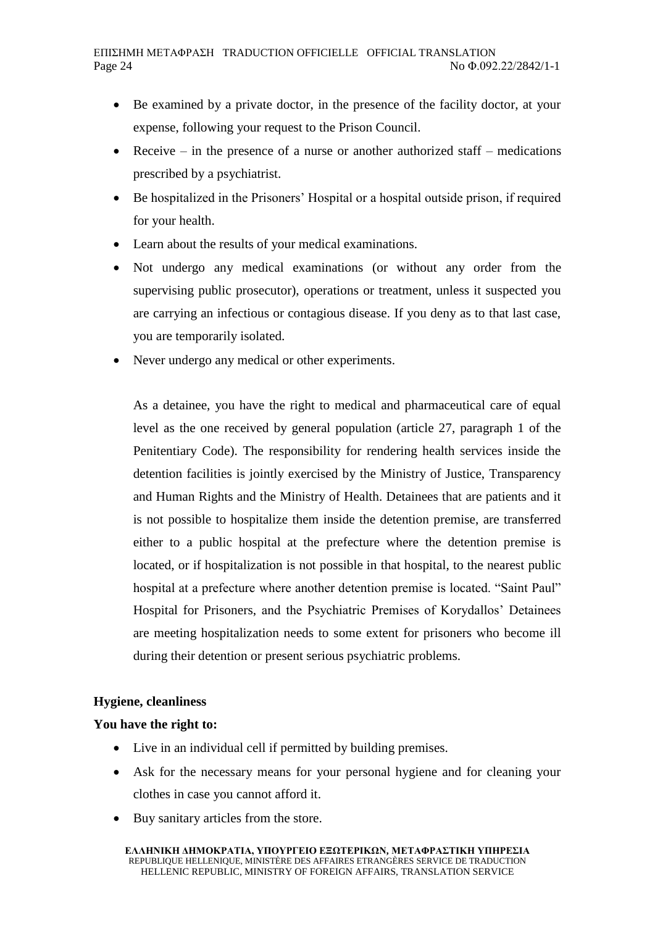- Be examined by a private doctor, in the presence of the facility doctor, at your expense, following your request to the Prison Council.
- Receive in the presence of a nurse or another authorized staff medications prescribed by a psychiatrist.
- Be hospitalized in the Prisoners' Hospital or a hospital outside prison, if required for your health.
- Learn about the results of your medical examinations.
- Not undergo any medical examinations (or without any order from the supervising public prosecutor), operations or treatment, unless it suspected you are carrying an infectious or contagious disease. If you deny as to that last case, you are temporarily isolated.
- Never undergo any medical or other experiments.

As a detainee, you have the right to medical and pharmaceutical care of equal level as the one received by general population (article 27, paragraph 1 of the Penitentiary Code). The responsibility for rendering health services inside the detention facilities is jointly exercised by the Ministry of Justice, Transparency and Human Rights and the Ministry of Health. Detainees that are patients and it is not possible to hospitalize them inside the detention premise, are transferred either to a public hospital at the prefecture where the detention premise is located, or if hospitalization is not possible in that hospital, to the nearest public hospital at a prefecture where another detention premise is located. "Saint Paul" Hospital for Prisoners, and the Psychiatric Premises of Korydallos' Detainees are meeting hospitalization needs to some extent for prisoners who become ill during their detention or present serious psychiatric problems.

### **Hygiene, cleanliness**

# **You have the right to:**

- Live in an individual cell if permitted by building premises.
- Ask for the necessary means for your personal hygiene and for cleaning your clothes in case you cannot afford it.
- Buy sanitary articles from the store.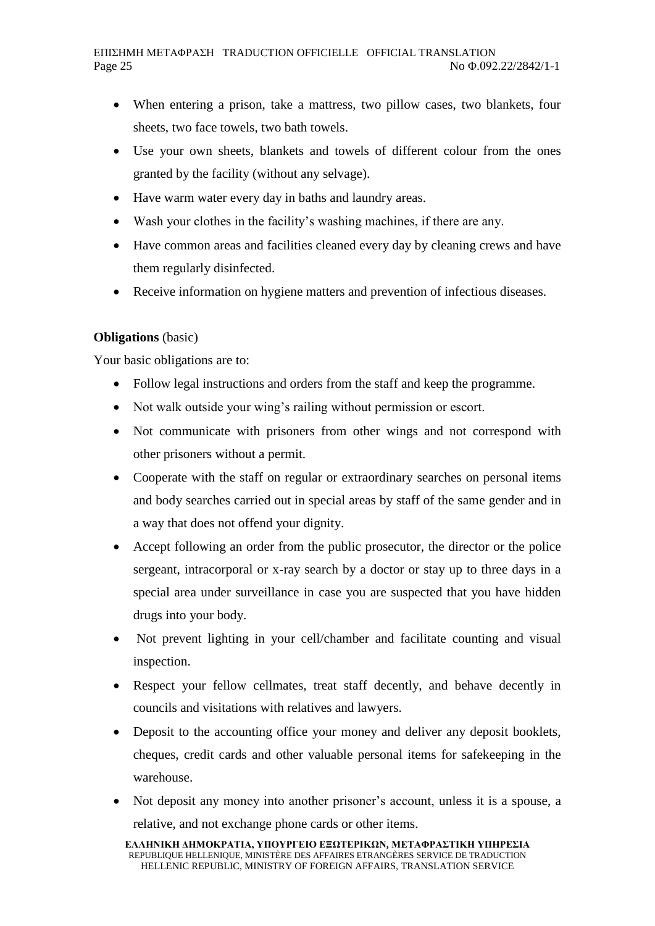- When entering a prison, take a mattress, two pillow cases, two blankets, four sheets, two face towels, two bath towels.
- Use your own sheets, blankets and towels of different colour from the ones granted by the facility (without any selvage).
- Have warm water every day in baths and laundry areas.
- Wash your clothes in the facility's washing machines, if there are any.
- Have common areas and facilities cleaned every day by cleaning crews and have them regularly disinfected.
- Receive information on hygiene matters and prevention of infectious diseases.

## **Obligations** (basic)

Your basic obligations are to:

- Follow legal instructions and orders from the staff and keep the programme.
- Not walk outside your wing's railing without permission or escort.
- Not communicate with prisoners from other wings and not correspond with other prisoners without a permit.
- Cooperate with the staff on regular or extraordinary searches on personal items and body searches carried out in special areas by staff of the same gender and in a way that does not offend your dignity.
- Accept following an order from the public prosecutor, the director or the police sergeant, intracorporal or x-ray search by a doctor or stay up to three days in a special area under surveillance in case you are suspected that you have hidden drugs into your body.
- Not prevent lighting in your cell/chamber and facilitate counting and visual inspection.
- Respect your fellow cellmates, treat staff decently, and behave decently in councils and visitations with relatives and lawyers.
- Deposit to the accounting office your money and deliver any deposit booklets, cheques, credit cards and other valuable personal items for safekeeping in the warehouse.
- Not deposit any money into another prisoner's account, unless it is a spouse, a relative, and not exchange phone cards or other items.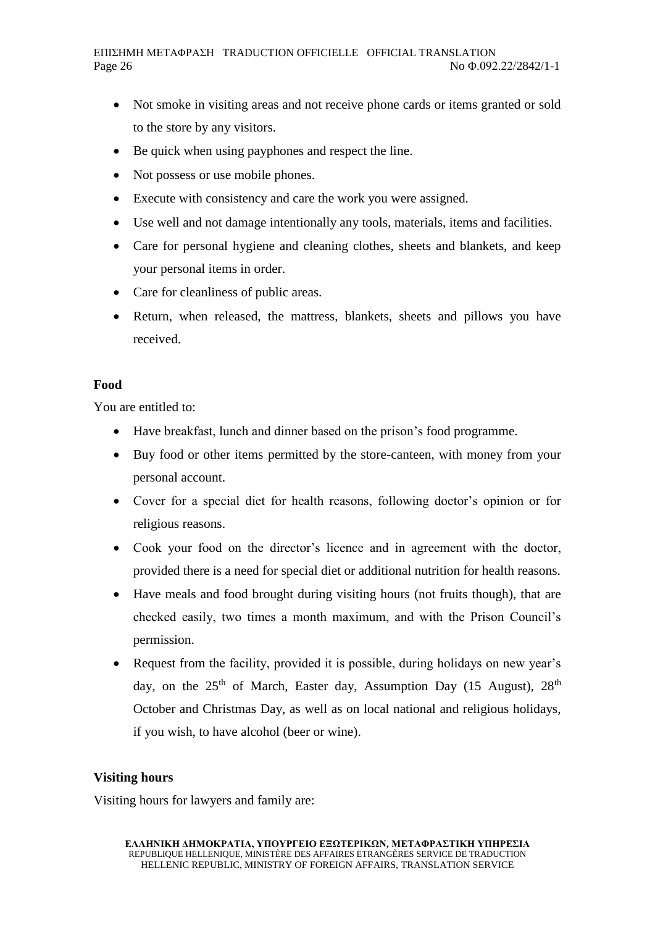- Not smoke in visiting areas and not receive phone cards or items granted or sold to the store by any visitors.
- Be quick when using payphones and respect the line.
- Not possess or use mobile phones.
- Execute with consistency and care the work you were assigned.
- Use well and not damage intentionally any tools, materials, items and facilities.
- Care for personal hygiene and cleaning clothes, sheets and blankets, and keep your personal items in order.
- Care for cleanliness of public areas.
- Return, when released, the mattress, blankets, sheets and pillows you have received.

#### **Food**

You are entitled to:

- Have breakfast, lunch and dinner based on the prison's food programme.
- Buy food or other items permitted by the store-canteen, with money from your personal account.
- Cover for a special diet for health reasons, following doctor's opinion or for religious reasons.
- Cook your food on the director's licence and in agreement with the doctor, provided there is a need for special diet or additional nutrition for health reasons.
- Have meals and food brought during visiting hours (not fruits though), that are checked easily, two times a month maximum, and with the Prison Council's permission.
- Request from the facility, provided it is possible, during holidays on new year's day, on the  $25<sup>th</sup>$  of March, Easter day, Assumption Day (15 August),  $28<sup>th</sup>$ October and Christmas Day, as well as on local national and religious holidays, if you wish, to have alcohol (beer or wine).

### **Visiting hours**

Visiting hours for lawyers and family are: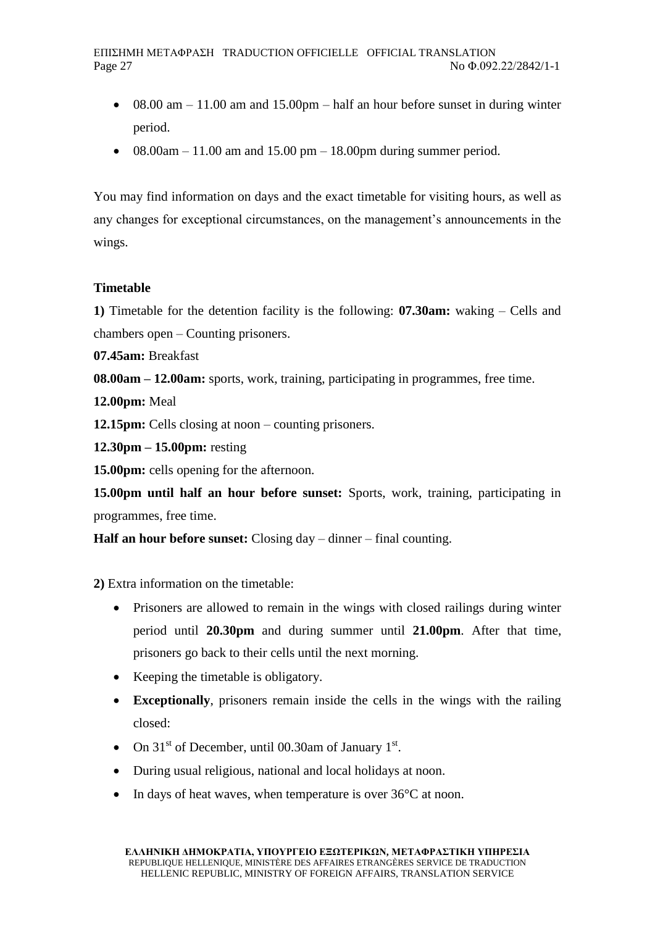- $\bullet$  08.00 am 11.00 am and 15.00pm half an hour before sunset in during winter period.
- $08.00$ am 11.00 am and 15.00 pm 18.00 pm during summer period.

You may find information on days and the exact timetable for visiting hours, as well as any changes for exceptional circumstances, on the management's announcements in the wings.

# **Timetable**

**1)** Timetable for the detention facility is the following: **07.30am:** waking – Cells and chambers open – Counting prisoners.

**07.45am:** Breakfast

**08.00am – 12.00am:** sports, work, training, participating in programmes, free time.

**12.00pm:** Meal

**12.15pm:** Cells closing at noon – counting prisoners.

**12.30pm – 15.00pm:** resting

**15.00pm:** cells opening for the afternoon.

**15.00pm until half an hour before sunset:** Sports, work, training, participating in programmes, free time.

**Half an hour before sunset:** Closing day – dinner – final counting.

**2)** Extra information on the timetable:

- Prisoners are allowed to remain in the wings with closed railings during winter period until **20.30pm** and during summer until **21.00pm**. After that time, prisoners go back to their cells until the next morning.
- Keeping the timetable is obligatory.
- **Exceptionally**, prisoners remain inside the cells in the wings with the railing closed:
- On  $31<sup>st</sup>$  of December, until 00.30am of January  $1<sup>st</sup>$ .
- During usual religious, national and local holidays at noon.
- In days of heat waves, when temperature is over  $36^{\circ}$ C at noon.